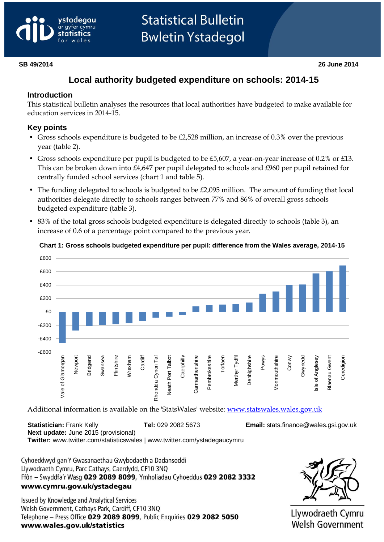# vstadeaau gyfer cymru

# **Local authority budgeted expenditure on schools: 2014-15**

### **Introduction**

This statistical bulletin analyses the resources that local authorities have budgeted to make available for education services in 2014-15.

## **Key points**

- Gross schools expenditure is budgeted to be £2,528 million, an increase of 0.3% over the previous year (table 2).
- Gross schools expenditure per pupil is budgeted to be £5,607, a year-on-year increase of 0.2% or £13. This can be broken down into £4,647 per pupil delegated to schools and £960 per pupil retained for centrally funded school services (chart 1 and table 5).
- The funding delegated to schools is budgeted to be £2,095 million. The amount of funding that local authorities delegate directly to schools ranges between 77% and 86% of overall gross schools budgeted expenditure (table 3).
- 83% of the total gross schools budgeted expenditure is delegated directly to schools (table 3), an increase of 0.6 of a percentage point compared to the previous year.



#### **Chart 1: Gross schools budgeted expenditure per pupil: difference from the Wales average, 2014-15**

Additional information is available on the 'StatsWales' website: [www.statswales.wales.gov.uk](http://www.statswales.wales.gov.uk/)

**Statistician:** Frank Kelly **Tel:** 029 2082 5673 **Email:** [stats.finance@wales.gsi.gov.uk](mailto:stats.finance@wales.gsi.gov.uk) **Next update:** June 2015 (provisional) **Twitter:** www.twitter.com/statisticswales | www.twitter.com/ystadegaucymru

Cyhoeddwyd gan Y Gwasanaethau Gwybodaeth a Dadansoddi Llywodraeth Cymru, Parc Cathays, Caerdydd, CF10 3NQ Ffôn - Swyddfa'r Wasg 029 2089 8099, Ymholiadau Cyhoeddus 029 2082 3332 www.cymru.gov.uk/ystadegau

Issued by Knowledge and Analytical Services Welsh Government, Cathays Park, Cardiff, CF10 3NQ Telephone - Press Office 029 2089 8099, Public Enquiries 029 2082 5050 www.wales.gov.uk/statistics



Llywodraeth Cymru **Welsh Government**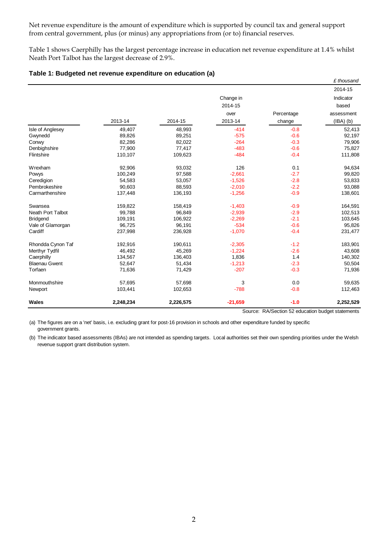Net revenue expenditure is the amount of expenditure which is supported by council tax and general support from central government, plus (or minus) any appropriations from (or to) financial reserves.

Table 1 shows Caerphilly has the largest percentage increase in education net revenue expenditure at 1.4% whilst Neath Port Talbot has the largest decrease of 2.9%.

|  | Table 1: Budgeted net revenue expenditure on education (a) |  |  |  |
|--|------------------------------------------------------------|--|--|--|
|--|------------------------------------------------------------|--|--|--|

|                          |           |           |           |            | £ thousand    |
|--------------------------|-----------|-----------|-----------|------------|---------------|
|                          |           |           |           |            | 2014-15       |
|                          |           |           | Change in |            | Indicator     |
|                          |           |           | 2014-15   |            | based         |
|                          |           |           | over      | Percentage | assessment    |
|                          | 2013-14   | 2014-15   | 2013-14   | change     | $(IBA)$ $(b)$ |
| Isle of Anglesey         | 49,407    | 48,993    | $-414$    | $-0.8$     | 52,413        |
| Gwynedd                  | 89,826    | 89,251    | $-575$    | $-0.6$     | 92,197        |
| Conwy                    | 82,286    | 82,022    | $-264$    | $-0.3$     | 79,906        |
| Denbighshire             | 77,900    | 77,417    | $-483$    | $-0.6$     | 75,827        |
| Flintshire               | 110,107   | 109,623   | $-484$    | $-0.4$     | 111,808       |
| Wrexham                  | 92,906    | 93,032    | 126       | 0.1        | 94,634        |
| Powys                    | 100,249   | 97,588    | $-2,661$  | $-2.7$     | 99,820        |
| Ceredigion               | 54,583    | 53,057    | $-1,526$  | $-2.8$     | 53,833        |
| Pembrokeshire            | 90.603    | 88,593    | $-2,010$  | $-2.2$     | 93,088        |
| Carmarthenshire          | 137,448   | 136,193   | $-1,256$  | $-0.9$     | 138,601       |
| Swansea                  | 159,822   | 158,419   | $-1,403$  | $-0.9$     | 164,591       |
| <b>Neath Port Talbot</b> | 99,788    | 96,849    | $-2,939$  | $-2.9$     | 102,513       |
| <b>Bridgend</b>          | 109,191   | 106,922   | $-2,269$  | $-2.1$     | 103,645       |
| Vale of Glamorgan        | 96,725    | 96,191    | $-534$    | $-0.6$     | 95,826        |
| Cardiff                  | 237,998   | 236,928   | $-1,070$  | $-0.4$     | 231,477       |
| Rhondda Cynon Taf        | 192,916   | 190,611   | $-2,305$  | $-1.2$     | 183,901       |
| Merthyr Tydfil           | 46,492    | 45,269    | $-1,224$  | $-2.6$     | 43,608        |
| Caerphilly               | 134,567   | 136,403   | 1,836     | 1.4        | 140,302       |
| <b>Blaenau Gwent</b>     | 52,647    | 51,434    | $-1,213$  | $-2.3$     | 50,504        |
| Torfaen                  | 71,636    | 71,429    | $-207$    | $-0.3$     | 71,936        |
| Monmouthshire            | 57,695    | 57,698    | 3         | 0.0        | 59,635        |
| Newport                  | 103,441   | 102,653   | $-788$    | $-0.8$     | 112,463       |
| <b>Wales</b>             | 2,248,234 | 2,226,575 | $-21,659$ | $-1.0$     | 2,252,529     |

Source: RA/Section 52 education budget statements

(a) The figures are on a 'net' basis, i.e. excluding grant for post-16 provision in schools and other expenditure funded by specific government grants.

(b) The indicator based assessments (IBAs) are not intended as spending targets. Local authorities set their own spending priorities under the Welsh revenue support grant distribution system.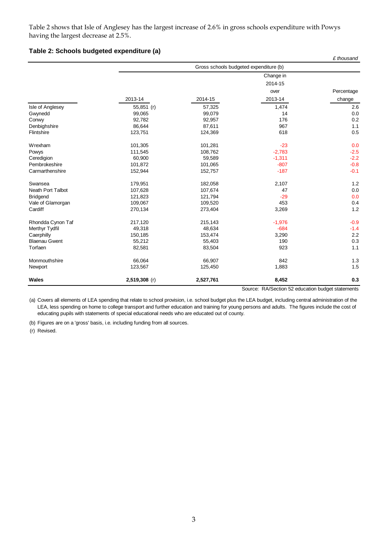Table 2 shows that Isle of Anglesey has the largest increase of 2.6% in gross schools expenditure with Powys having the largest decrease at 2.5%.

#### **Table 2: Schools budgeted expenditure (a)**

| Caerphilly                          | 150,185                                | 153,474            | 3,290       | 2.2        |  |  |  |  |
|-------------------------------------|----------------------------------------|--------------------|-------------|------------|--|--|--|--|
| Merthyr Tydfil                      | 49,318                                 | 48,634             | $-684$      | $-1.4$     |  |  |  |  |
| Rhondda Cynon Taf                   | 217,120                                | 215,143            | $-1,976$    | $-0.9$     |  |  |  |  |
| Cardiff                             | 270,134                                | 273,404            | 3,269       | 1.2        |  |  |  |  |
| Vale of Glamorgan                   | 109,067                                | 109,520            | 453         | 0.4        |  |  |  |  |
| <b>Bridgend</b>                     | 121,823                                | 121,794            | $-29$       | 0.0        |  |  |  |  |
| Swansea<br><b>Neath Port Talbot</b> | 179,951<br>107,628                     | 182,058<br>107,674 | 2,107<br>47 | 1.2<br>0.0 |  |  |  |  |
| Carmarthenshire                     | 152,944                                | 152,757            | $-187$      | $-0.1$     |  |  |  |  |
| Pembrokeshire                       | 101,872                                | 101,065            | $-807$      | $-0.8$     |  |  |  |  |
| Ceredigion                          | 60,900                                 | 59,589             | $-1,311$    | $-2.2$     |  |  |  |  |
| Powys                               | 111,545                                | 108,762            | $-2,783$    | $-2.5$     |  |  |  |  |
| Wrexham                             | 101,305                                | 101,281            | $-23$       | 0.0        |  |  |  |  |
| Flintshire                          | 123,751                                | 124,369            | 618         | 0.5        |  |  |  |  |
| Denbighshire                        | 86,644                                 | 87,611             | 967         | 1.1        |  |  |  |  |
| Conwy                               | 92,782                                 | 92,957             | 176         | 0.2        |  |  |  |  |
| Isle of Anglesey<br>Gwynedd         | 55,851 (r)<br>99,065                   | 57,325<br>99,079   | 1,474<br>14 | 2.6<br>0.0 |  |  |  |  |
|                                     | 2013-14                                | 2014-15            | 2013-14     | change     |  |  |  |  |
|                                     |                                        |                    | over        | Percentage |  |  |  |  |
|                                     |                                        |                    | 2014-15     |            |  |  |  |  |
|                                     |                                        |                    | Change in   |            |  |  |  |  |
|                                     | Gross schools budgeted expenditure (b) |                    |             |            |  |  |  |  |
|                                     |                                        |                    |             | £ thousand |  |  |  |  |

(a) Covers all elements of LEA spending that relate to school provision, i.e. school budget plus the LEA budget, including central administration of the LEA, less spending on home to college transport and further education and training for young persons and adults. The figures include the cost of educating pupils with statements of special educational needs who are educated out of county.

(b) Figures are on a 'gross' basis, i.e. including funding from all sources.

(r) Revised.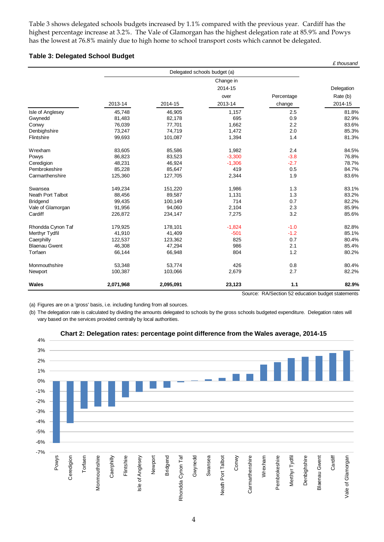Table 3 shows delegated schools budgets increased by 1.1% compared with the previous year. Cardiff has the highest percentage increase at 3.2%. The Vale of Glamorgan has the highest delegation rate at 85.9% and Powys has the lowest at 76.8% mainly due to high home to school transport costs which cannot be delegated.

*£ thousand*

#### **Table 3: Delegated School Budget**

|                          |           |           | Delegated schools budget (a) |            |            |
|--------------------------|-----------|-----------|------------------------------|------------|------------|
|                          |           |           | Change in                    |            |            |
|                          |           |           | 2014-15                      |            | Delegation |
|                          |           |           | over                         | Percentage | Rate (b)   |
|                          | 2013-14   | 2014-15   | 2013-14                      | change     | 2014-15    |
| Isle of Anglesey         | 45,748    | 46,905    | 1,157                        | 2.5        | 81.8%      |
| Gwynedd                  | 81,483    | 82,178    | 695                          | 0.9        | 82.9%      |
| Conwy                    | 76,039    | 77,701    | 1,662                        | 2.2        | 83.6%      |
| Denbighshire             | 73,247    | 74,719    | 1,472                        | 2.0        | 85.3%      |
| Flintshire               | 99,693    | 101,087   | 1,394                        | 1.4        | 81.3%      |
| Wrexham                  | 83,605    | 85,586    | 1,982                        | 2.4        | 84.5%      |
| Powys                    | 86,823    | 83,523    | $-3,300$                     | $-3.8$     | 76.8%      |
| Ceredigion               | 48,231    | 46,924    | $-1,306$                     | $-2.7$     | 78.7%      |
| Pembrokeshire            | 85,228    | 85,647    | 419                          | 0.5        | 84.7%      |
| Carmarthenshire          | 125,360   | 127,705   | 2,344                        | 1.9        | 83.6%      |
| Swansea                  | 149,234   | 151,220   | 1,986                        | 1.3        | 83.1%      |
| <b>Neath Port Talbot</b> | 88,456    | 89,587    | 1,131                        | 1.3        | 83.2%      |
| <b>Bridgend</b>          | 99,435    | 100,149   | 714                          | 0.7        | 82.2%      |
| Vale of Glamorgan        | 91,956    | 94,060    | 2,104                        | 2.3        | 85.9%      |
| Cardiff                  | 226,872   | 234,147   | 7,275                        | 3.2        | 85.6%      |
| Rhondda Cynon Taf        | 179,925   | 178,101   | $-1,824$                     | $-1.0$     | 82.8%      |
| Merthyr Tydfil           | 41,910    | 41,409    | $-501$                       | $-1.2$     | 85.1%      |
| Caerphilly               | 122,537   | 123,362   | 825                          | 0.7        | 80.4%      |
| <b>Blaenau Gwent</b>     | 46,308    | 47,294    | 986                          | 2.1        | 85.4%      |
| Torfaen                  | 66,144    | 66,948    | 804                          | 1.2        | 80.2%      |
| Monmouthshire            | 53,348    | 53,774    | 426                          | 0.8        | 80.4%      |
| Newport                  | 100,387   | 103,066   | 2,679                        | 2.7        | 82.2%      |
| Wales                    | 2,071,968 | 2,095,091 | 23,123                       | 1.1        | 82.9%      |

(a) Figures are on a 'gross' basis, i.e. including funding from all sources.

(b) The delegation rate is calculated by dividing the amounts delegated to schools by the gross schools budgeted expenditure. Delegation rates will vary based on the services provided centrally by local authorities.



#### **Chart 2: Delegation rates: percentage point difference from the Wales average, 2014-15**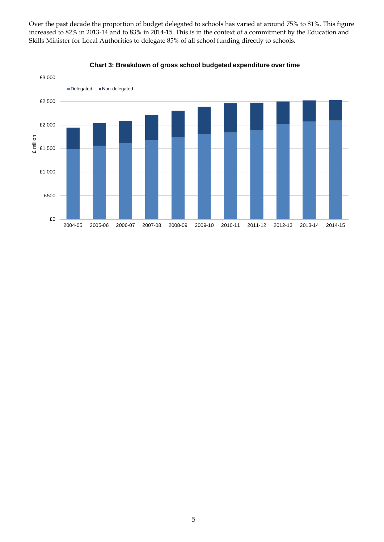Over the past decade the proportion of budget delegated to schools has varied at around 75% to 81%. This figure increased to 82% in 2013-14 and to 83% in 2014-15. This is in the context of a commitment by the Education and Skills Minister for Local Authorities to delegate 85% of all school funding directly to schools.



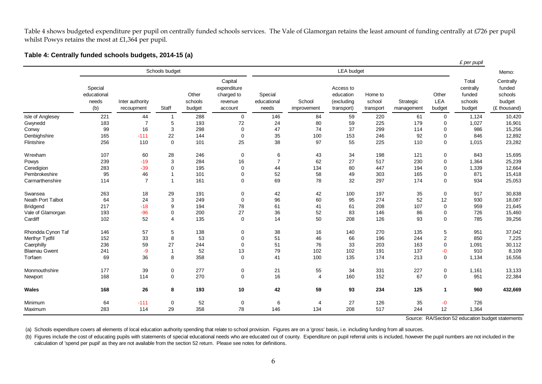Table 4 shows budgeted expenditure per pupil on centrally funded schools services. The Vale of Glamorgan retains the least amount of funding centrally at £726 per pupil whilst Powys retains the most at £1,364 per pupil.

#### **Table 4: Centrally funded schools budgets, 2014-15 (a)**

|                      |                                        |                               |                     |                            |                                                            |                                 |                       |                                                    |                                |                         |                        | £ per pupil                                       |                                                          |
|----------------------|----------------------------------------|-------------------------------|---------------------|----------------------------|------------------------------------------------------------|---------------------------------|-----------------------|----------------------------------------------------|--------------------------------|-------------------------|------------------------|---------------------------------------------------|----------------------------------------------------------|
|                      |                                        |                               | Schools budget      |                            |                                                            |                                 |                       | <b>LEA</b> budget                                  |                                |                         |                        |                                                   | Memo:                                                    |
|                      | Special<br>educational<br>needs<br>(b) | Inter authority<br>recoupment | Staff               | Other<br>schools<br>budget | Capital<br>expenditure<br>charged to<br>revenue<br>account | Special<br>educational<br>needs | School<br>improvement | Access to<br>education<br>(excluding<br>transport) | Home to<br>school<br>transport | Strategic<br>management | Other<br>LEA<br>budget | Total<br>centrally<br>funded<br>schools<br>budget | Centrally<br>funded<br>schools<br>budget<br>(£ thousand) |
| Isle of Anglesey     | 221                                    | 44                            | $\overline{1}$      | 288                        | $\mathbf 0$                                                | 146                             | 84                    | 59                                                 | 220                            | 61                      | $\mathbf 0$            | 1,124                                             | 10,420                                                   |
| Gwynedd              | 183                                    | $\overline{7}$                | 5                   | 193                        | 72                                                         | 24                              | 80                    | 59                                                 | 225                            | 179                     | $\Omega$               | 1,027                                             | 16,901                                                   |
| Conwy                | 99                                     | 16                            | 3                   | 298                        | $\mathbf 0$                                                | 47                              | 74                    | 37                                                 | 299                            | 114                     | $\mathbf 0$            | 986                                               | 15,256                                                   |
| Denbighshire         | 165                                    | $-111$                        | 22                  | 144                        | $\mathbf 0$                                                | 35                              | 100                   | 153                                                | 246                            | 92                      | $\mathbf 0$            | 846                                               | 12,892                                                   |
| Flintshire           | 256                                    | 110                           | $\mathbf 0$         | 101                        | 25                                                         | 38                              | 97                    | 55                                                 | 225                            | 110                     | $\mathbf{0}$           | 1,015                                             | 23,282                                                   |
| Wrexham              | 107                                    | 60                            | 28                  | 246                        | 0                                                          | 6                               | 43                    | 34                                                 | 198                            | 121                     | 0                      | 843                                               | 15,695                                                   |
| Powys                | 239                                    | $-19$                         | 3                   | 284                        | 16                                                         | $\overline{7}$                  | 62                    | 27                                                 | 517                            | 230                     | $\mathbf 0$            | 1,364                                             | 25,239                                                   |
| Ceredigion           | 283                                    | $-39$                         | $\Omega$            | 195                        | $\mathbf 0$                                                | 44                              | 134                   | 80                                                 | 447                            | 194                     | $\Omega$               | 1,339                                             | 12,664                                                   |
| Pembrokeshire        | 95                                     | 46                            |                     | 101                        | $\Omega$                                                   | 52                              | 58                    | 49                                                 | 303                            | 165                     | $\mathbf 0$            | 871                                               | 15,418                                                   |
| Carmarthenshire      | 114                                    | $\overline{7}$                |                     | 161                        | $\Omega$                                                   | 69                              | 78                    | 32                                                 | 297                            | 174                     | $\Omega$               | 934                                               | 25,053                                                   |
| Swansea              | 263                                    | 18                            | 29                  | 191                        | 0                                                          | 42                              | 42                    | 100                                                | 197                            | 35                      | $\mathbf 0$            | 917                                               | 30,838                                                   |
| Neath Port Talbot    | 64                                     | 24                            | 3                   | 249                        | $\mathbf 0$                                                | 96                              | 60                    | 95                                                 | 274                            | 52                      | 12                     | 930                                               | 18,087                                                   |
| <b>Bridgend</b>      | 217                                    | $-18$                         | 9                   | 194                        | 78                                                         | 61                              | 41                    | 61                                                 | 208                            | 107                     | $\mathbf 0$            | 959                                               | 21,645                                                   |
| Vale of Glamorgan    | 193                                    | $-96$                         | 0                   | 200                        | 27                                                         | 36                              | 52                    | 83                                                 | 146                            | 86                      | $\mathbf 0$            | 726                                               | 15,460                                                   |
| Cardiff              | 102                                    | 52                            | $\overline{4}$      | 135                        | $\mathbf 0$                                                | 14                              | 50                    | 208                                                | 126                            | 93                      | $\mathbf 0$            | 785                                               | 39,256                                                   |
| Rhondda Cynon Taf    | 146                                    | 57                            | 5                   | 138                        | $\pmb{0}$                                                  | 38                              | 16                    | 140                                                | 270                            | 135                     | 5                      | 951                                               | 37,042                                                   |
| Merthyr Tydfil       | 152                                    | 33                            | 8                   | 53                         | $\Omega$                                                   | 51                              | 46                    | 66                                                 | 196                            | 244                     | $\overline{2}$         | 850                                               | 7,225                                                    |
| Caerphilly           | 236                                    | 59                            | 27                  | 244                        | $\Omega$                                                   | 51                              | 76                    | 33                                                 | 203                            | 163                     | $\mathbf 0$            | 1,091                                             | 30,112                                                   |
| <b>Blaenau Gwent</b> | 241                                    | $-9$                          | $\overline{1}$      | 52                         | 13                                                         | 79                              | 102                   | 102                                                | 191                            | 137                     | -0                     | 910                                               | 8,109                                                    |
| Torfaen              | 69                                     | 36                            | 8                   | 358                        | $\mathbf 0$                                                | 41                              | 100                   | 135                                                | 174                            | 213                     | $\mathbf 0$            | 1,134                                             | 16,556                                                   |
| Monmouthshire        | 177                                    | 39                            | $\mathbf 0$         | 277                        | 0                                                          | 21                              | 55                    | 34                                                 | 331                            | 227                     | $\mathbf 0$            | 1,161                                             | 13,133                                                   |
| Newport              | 168                                    | 114                           | $\mathsf{O}\xspace$ | 270                        | $\mathbf 0$                                                | 16                              | $\overline{4}$        | 160                                                | 152                            | 67                      | $\mathbf 0$            | 951                                               | 22,384                                                   |
| Wales                | 168                                    | 26                            | 8                   | 193                        | 10                                                         | 42                              | 59                    | 93                                                 | 234                            | 125                     | $\mathbf{1}$           | 960                                               | 432,669                                                  |
| Minimum              | 64                                     | $-111$                        | $\mathbf 0$         | 52                         | $\mathbf 0$                                                | 6                               | $\overline{4}$        | 27                                                 | 126                            | 35                      | -0                     | 726                                               |                                                          |
| Maximum              | 283                                    | 114                           | 29                  | 358                        | 78                                                         | 146                             | 134                   | 208                                                | 517                            | 244                     | 12                     | 1,364                                             |                                                          |

Source: RA/Section 52 education budget statements

(a) Schools expenditure covers all elements of local education authority spending that relate to school provision. Figures are on a 'gross' basis, i.e. including funding from all sources.

(b) Figures include the cost of educating pupils with statements of special educational needs who are educated out of county. Expenditure on pupil referral units is included, however the pupil numbers are not included in t calculation of 'spend per pupil' as they are not available from the section 52 return. Please see notes for definitions.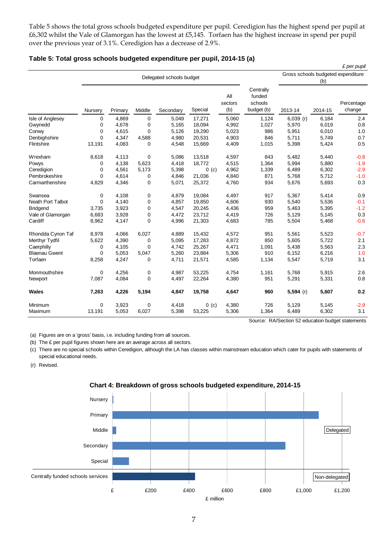Table 5 shows the total gross schools budgeted expenditure per pupil. Ceredigion has the highest spend per pupil at £6,302 whilst the Vale of Glamorgan has the lowest at £5,145. Torfaen has the highest increase in spend per pupil over the previous year of 3.1%. Ceredigion has a decrease of 2.9%.

|                      |             |         |             |                          |         |                       |                                              |             |         | £ per pupil                        |
|----------------------|-------------|---------|-------------|--------------------------|---------|-----------------------|----------------------------------------------|-------------|---------|------------------------------------|
|                      |             |         |             | Delegated schools budget |         |                       |                                              |             |         | Gross schools budgeted expenditure |
|                      |             |         |             |                          |         | (b)                   |                                              |             |         |                                    |
|                      | Nursery     | Primary | Middle      | Secondary                | Special | All<br>sectors<br>(b) | Centrally<br>funded<br>schools<br>budget (b) | 2013-14     | 2014-15 | Percentage<br>change               |
| Isle of Anglesey     | $\mathbf 0$ | 4,869   | $\mathbf 0$ | 5,049                    | 17,271  | 5,060                 | 1,124                                        | $6,039$ (r) | 6,184   | 2.4                                |
| Gwynedd              | 0           | 4,678   | 0           | 5,165                    | 18,094  | 4,992                 | 1,027                                        | 5,970       | 6,019   | 0.8                                |
| Conwy                | $\mathbf 0$ | 4,615   | 0           | 5,126                    | 19,290  | 5,023                 | 986                                          | 5,951       | 6,010   | 1.0                                |
| Denbighshire         | $\mathbf 0$ | 4,347   | 4,588       | 4,980                    | 20,531  | 4,903                 | 846                                          | 5,711       | 5,749   | 0.7                                |
| Flintshire           | 13,191      | 4,083   | 0           | 4,548                    | 15,669  | 4,409                 | 1,015                                        | 5,398       | 5,424   | 0.5                                |
| Wrexham              | 8,618       | 4,113   | 0           | 5,086                    | 13,518  | 4,597                 | 843                                          | 5,482       | 5,440   | $-0.8$                             |
| Powys                | 0           | 4,138   | 5,623       | 4,418                    | 18,772  | 4,515                 | 1,364                                        | 5,994       | 5,880   | $-1.9$                             |
| Ceredigion           | $\mathbf 0$ | 4,561   | 5,173       | 5,398                    | 0( c)   | 4,962                 | 1,339                                        | 6,489       | 6,302   | $-2.9$                             |
| Pembrokeshire        | $\Omega$    | 4,614   | 0           | 4,846                    | 21,036  | 4,840                 | 871                                          | 5,768       | 5,712   | $-1.0$                             |
| Carmarthenshire      | 4,829       | 4,346   | 0           | 5,071                    | 25,372  | 4,760                 | 934                                          | 5,676       | 5,693   | 0.3                                |
| Swansea              | 0           | 4,108   | 0           | 4,879                    | 19.084  | 4,497                 | 917                                          | 5,367       | 5,414   | 0.9                                |
| Neath Port Talbot    | $\mathbf 0$ | 4,140   | 0           | 4,857                    | 19,850  | 4,606                 | 930                                          | 5,540       | 5,536   | $-0.1$                             |
| <b>Bridgend</b>      | 3,735       | 3,923   | 0           | 4,547                    | 20,245  | 4,436                 | 959                                          | 5,463       | 5,395   | $-1.2$                             |
| Vale of Glamorgan    | 6,683       | 3,928   | 0           | 4,472                    | 23,712  | 4,419                 | 726                                          | 5,129       | 5,145   | 0.3                                |
| Cardiff              | 8,962       | 4,147   | 0           | 4,996                    | 21,303  | 4,683                 | 785                                          | 5,504       | 5,468   | $-0.6$                             |
| Rhondda Cynon Taf    | 8,978       | 4,066   | 6,027       | 4,889                    | 15,432  | 4,572                 | 951                                          | 5,561       | 5,523   | $-0.7$                             |
| Merthyr Tydfil       | 5,622       | 4,390   | 0           | 5,095                    | 17,283  | 4,872                 | 850                                          | 5,605       | 5,722   | 2.1                                |
| Caerphilly           | 0           | 4,105   | 0           | 4,742                    | 25,267  | 4,471                 | 1,091                                        | 5,438       | 5,563   | 2.3                                |
| <b>Blaenau Gwent</b> | $\mathbf 0$ | 5,053   | 5,047       | 5,260                    | 23,884  | 5,306                 | 910                                          | 6,152       | 6,216   | 1.0                                |
| Torfaen              | 8,258       | 4,247   | 0           | 4,711                    | 21,571  | 4,585                 | 1,134                                        | 5,547       | 5,719   | 3.1                                |
| Monmouthshire        | $\mathbf 0$ | 4,256   | $\pmb{0}$   | 4,987                    | 53,225  | 4,754                 | 1,161                                        | 5,768       | 5,915   | 2.6                                |
| Newport              | 7,087       | 4,084   | $\mathbf 0$ | 4,497                    | 22,264  | 4,380                 | 951                                          | 5,291       | 5,331   | 0.8                                |
| Wales                | 7,263       | 4,226   | 5,194       | 4,847                    | 19,758  | 4,647                 | 960                                          | $5,594$ (r) | 5,607   | 0.2                                |
| Minimum              | $\mathbf 0$ | 3,923   | 0           | 4,418                    | $0$ (c) | 4,380                 | 726                                          | 5,129       | 5,145   | $-2.9$                             |
| Maximum              | 13,191      | 5,053   | 6,027       | 5,398                    | 53,225  | 5,306                 | 1,364                                        | 6,489       | 6,302   | 3.1                                |

**Table 5: Total gross schools budgeted expenditure per pupil, 2014-15 (a)**

Source: RA/Section 52 education budget statements

(a) Figures are on a 'gross' basis, i.e. including funding from all sources.

(b) The £ per pupil figures shown here are an average across all sectors.

(c) There are no special schools within Ceredigion, although the LA has classes within mainstream education which cater for pupils with statements of special educational needs.

(r) Revised.



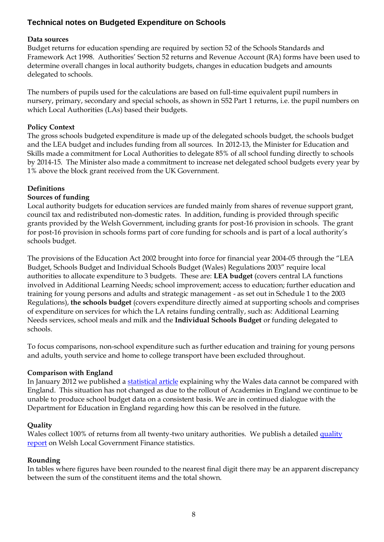# **Technical notes on Budgeted Expenditure on Schools**

#### **Data sources**

Budget returns for education spending are required by section 52 of the Schools Standards and Framework Act 1998. Authorities' Section 52 returns and Revenue Account (RA) forms have been used to determine overall changes in local authority budgets, changes in education budgets and amounts delegated to schools.

The numbers of pupils used for the calculations are based on full-time equivalent pupil numbers in nursery, primary, secondary and special schools, as shown in S52 Part 1 returns, i.e. the pupil numbers on which Local Authorities (LAs) based their budgets.

#### **Policy Context**

The gross schools budgeted expenditure is made up of the delegated schools budget, the schools budget and the LEA budget and includes funding from all sources. In 2012-13, the Minister for Education and Skills made a commitment for Local Authorities to delegate 85% of all school funding directly to schools by 2014-15. The Minister also made a commitment to increase net delegated school budgets every year by 1% above the block grant received from the UK Government.

#### **Definitions**

#### **Sources of funding**

Local authority budgets for education services are funded mainly from shares of revenue support grant, council tax and redistributed non-domestic rates. In addition, funding is provided through specific grants provided by the Welsh Government, including grants for post-16 provision in schools. The grant for post-16 provision in schools forms part of core funding for schools and is part of a local authority's schools budget.

The provisions of the Education Act 2002 brought into force for financial year 2004-05 through the "LEA Budget, Schools Budget and Individual Schools Budget (Wales) Regulations 2003" require local authorities to allocate expenditure to 3 budgets. These are: **LEA budget** (covers central LA functions involved in Additional Learning Needs; school improvement; access to education; further education and training for young persons and adults and strategic management - as set out in Schedule 1 to the 2003 Regulations), **the schools budget** (covers expenditure directly aimed at supporting schools and comprises of expenditure on services for which the LA retains funding centrally, such as: Additional Learning Needs services, school meals and milk and the **Individual Schools Budget** or funding delegated to schools.

To focus comparisons, non-school expenditure such as further education and training for young persons and adults, youth service and home to college transport have been excluded throughout.

#### **Comparison with England**

In January 2012 we published a [statistical article](http://wales.gov.uk/statistics-and-research/local-authortiy-budgets-education/?lang=en) explaining why the Wales data cannot be compared with England. This situation has not changed as due to the rollout of Academies in England we continue to be unable to produce school budget data on a consistent basis. We are in continued dialogue with the Department for Education in England regarding how this can be resolved in the future.

#### **Quality**

Wales collect 100% of returns from all twenty-two unitary authorities. We publish a detailed quality [report](http://wales.gov.uk/statistics-and-research/welsh-local-government-financial-statistics/?lang=en#/statistics-and-research/welsh-local-government-financial-statistics/local-government-finance-statistics-quality-report/?lang=en) on Welsh Local Government Finance statistics.

#### **Rounding**

In tables where figures have been rounded to the nearest final digit there may be an apparent discrepancy between the sum of the constituent items and the total shown.